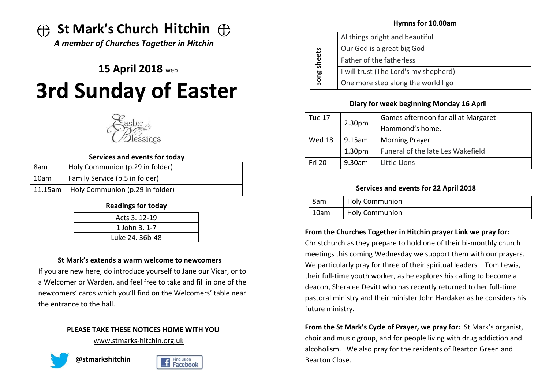# **St Mark's Church Hitchin**

*A member of Churches Together in Hitchin*

# **15 April 2018** web **3rd Sunday of Easter**



#### **Services and events for today**

| 8am  | Holy Communion (p.29 in folder)           |
|------|-------------------------------------------|
| 10am | Family Service (p.5 in folder)            |
|      | 11.15am   Holy Communion (p.29 in folder) |

# **Readings for today**

| Acts 3, 12-19   |  |
|-----------------|--|
| 1 John 3, 1-7   |  |
| Luke 24. 36b-48 |  |

### **St Mark's extends a warm welcome to newcomers**

If you are new here, do introduce yourself to Jane our Vicar, or to a Welcomer or Warden, and feel free to take and fill in one of the newcomers' cards which you'll find on the Welcomers' table near the entrance to the hall.

# **PLEASE TAKE THESE NOTICES HOME WITH YOU**

[www.stmarks-hitchin.org.uk](http://www.stmarks-hitchin.org.uk/)





### **Hymns for 10.00am**

| sheets<br>song | Al things bright and beautiful        |
|----------------|---------------------------------------|
|                | Our God is a great big God            |
|                | Father of the fatherless              |
|                | I will trust (The Lord's my shepherd) |
|                | One more step along the world I go    |

# **Diary for week beginning Monday 16 April**

| Tue 17        | 2.30 <sub>pm</sub> | Games afternoon for all at Margaret |
|---------------|--------------------|-------------------------------------|
|               |                    | Hammond's home.                     |
| Wed 18        | $9.15$ am          | <b>Morning Prayer</b>               |
|               | 1.30 <sub>pm</sub> | Funeral of the late Les Wakefield   |
| <b>Fri 20</b> | 9.30am             | Little Lions                        |

# **Services and events for 22 April 2018**

| l 8am    | <b>Holy Communion</b> |
|----------|-----------------------|
| $ 10$ am | <b>Holy Communion</b> |

# **From the Churches Together in Hitchin prayer Link we pray for:**

Christchurch as they prepare to hold one of their bi-monthly church meetings this coming Wednesday we support them with our prayers. We particularly pray for three of their spiritual leaders – Tom Lewis, their full-time youth worker, as he explores his calling to become a deacon, Sheralee Devitt who has recently returned to her full-time pastoral ministry and their minister John Hardaker as he considers his future ministry.

**From the St Mark's Cycle of Prayer, we pray for:** St Mark's organist, choir and music group, and for people living with drug addiction and alcoholism. We also pray for the residents of Bearton Green and Bearton Close.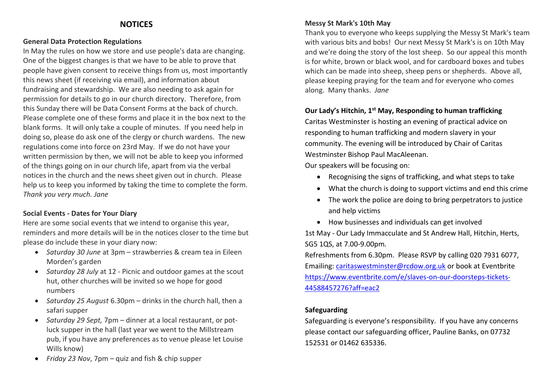# **NOTICES**

#### **General Data Protection Regulations**

In May the rules on how we store and use people's data are changing. One of the biggest changes is that we have to be able to prove that people have given consent to receive things from us, most importantly this news sheet (if receiving via email), and information about fundraising and stewardship. We are also needing to ask again for permission for details to go in our church directory. Therefore, from this Sunday there will be Data Consent Forms at the back of church. Please complete one of these forms and place it in the box next to the blank forms. It will only take a couple of minutes. If you need help in doing so, please do ask one of the clergy or church wardens. The new regulations come into force on 23rd May. If we do not have your written permission by then, we will not be able to keep you informed of the things going on in our church life, apart from via the verbal notices in the church and the news sheet given out in church. Please help us to keep you informed by taking the time to complete the form. *Thank you very much. Jane*

# **Social Events - Dates for Your Diary**

Here are some social events that we intend to organise this year, reminders and more details will be in the notices closer to the time but please do include these in your diary now:

- *Saturday 30 June* at 3pm strawberries & cream tea in Eileen Morden's garden
- *Saturday 28 July* at 12 Picnic and outdoor games at the scout hut, other churches will be invited so we hope for good numbers
- *Saturday 25 August* 6.30pm drinks in the church hall, then a safari supper
- *Saturday 29 Sept,* 7pm dinner at a local restaurant, or potluck supper in the hall (last year we went to the Millstream pub, if you have any preferences as to venue please let Louise Wills know)

# **Messy St Mark's 10th May**

Thank you to everyone who keeps supplying the Messy St Mark's team with various bits and bobs! Our next Messy St Mark's is on 10th May and we're doing the story of the lost sheep. So our appeal this month is for white, brown or black wool, and for cardboard boxes and tubes which can be made into sheep, sheep pens or shepherds. Above all, please keeping praying for the team and for everyone who comes along. Many thanks. *Jane*

# **Our Lady's Hitchin, 1st May, Responding to human trafficking**

Caritas Westminster is hosting an evening of practical advice on responding to human trafficking and modern slavery in your community. The evening will be introduced by Chair of Caritas Westminster Bishop Paul MacAleenan.

Our speakers will be focusing on:

- Recognising the signs of trafficking, and what steps to take
- What the church is doing to support victims and end this crime
- The work the police are doing to bring perpetrators to justice and help victims
- How businesses and individuals can get involved 1st May - Our Lady Immacculate and St Andrew Hall, Hitchin, Herts,

SG5 1QS, at 7.00-9.00pm.

Refreshments from 6.30pm. Please RSVP by calling 020 7931 6077, Emailing: [caritaswestminster@rcdow.org.uk](mailto:caritaswestminster@rcdow.org.uk) or book at Eventbrite [https://www.eventbrite.com/e/slaves-on-our-doorsteps-tickets-](https://www.eventbrite.com/e/slaves-on-our-doorsteps-tickets-44588457276?aff=eac2)[44588457276?aff=eac2](https://www.eventbrite.com/e/slaves-on-our-doorsteps-tickets-44588457276?aff=eac2)

# **Safeguarding**

Safeguarding is everyone's responsibility. If you have any concerns please contact our safeguarding officer, Pauline Banks, on 07732 152531 or 01462 635336.

• *Friday 23 Nov*, 7pm – quiz and fish & chip supper